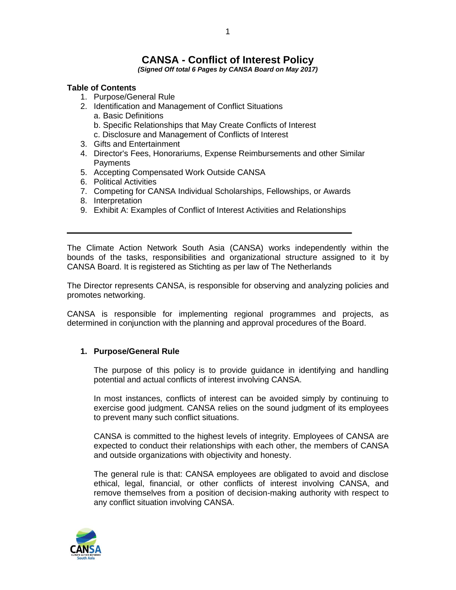# **CANSA - Conflict of Interest Policy**

*(Signed Off total 6 Pages by CANSA Board on May 2017)*

# **Table of Contents**

- 1. Purpose/General Rule
- 2. Identification and Management of Conflict Situations a. Basic Definitions
	- b. Specific Relationships that May Create Conflicts of Interest
	- c. Disclosure and Management of Conflicts of Interest
- 3. Gifts and Entertainment
- 4. Director's Fees, Honorariums, Expense Reimbursements and other Similar **Payments**
- 5. Accepting Compensated Work Outside CANSA
- 6. Political Activities
- 7. Competing for CANSA Individual Scholarships, Fellowships, or Awards
- 8. Interpretation
- 9. Exhibit A: Examples of Conflict of Interest Activities and Relationships

The Climate Action Network South Asia (CANSA) works independently within the bounds of the tasks, responsibilities and organizational structure assigned to it by CANSA Board. It is registered as Stichting as per law of The Netherlands

The Director represents CANSA, is responsible for observing and analyzing policies and promotes networking.

CANSA is responsible for implementing regional programmes and projects, as determined in conjunction with the planning and approval procedures of the Board.

#### **1. Purpose/General Rule**

The purpose of this policy is to provide guidance in identifying and handling potential and actual conflicts of interest involving CANSA.

In most instances, conflicts of interest can be avoided simply by continuing to exercise good judgment. CANSA relies on the sound judgment of its employees to prevent many such conflict situations.

CANSA is committed to the highest levels of integrity. Employees of CANSA are expected to conduct their relationships with each other, the members of CANSA and outside organizations with objectivity and honesty.

The general rule is that: CANSA employees are obligated to avoid and disclose ethical, legal, financial, or other conflicts of interest involving CANSA, and remove themselves from a position of decision-making authority with respect to any conflict situation involving CANSA.

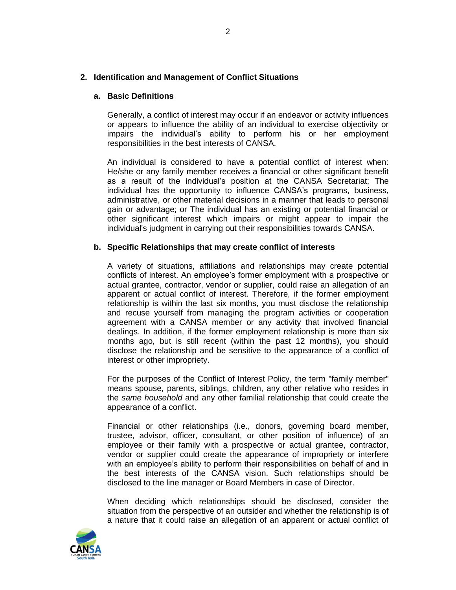## **2. Identification and Management of Conflict Situations**

#### **a. Basic Definitions**

Generally, a conflict of interest may occur if an endeavor or activity influences or appears to influence the ability of an individual to exercise objectivity or impairs the individual's ability to perform his or her employment responsibilities in the best interests of CANSA.

An individual is considered to have a potential conflict of interest when: He/she or any family member receives a financial or other significant benefit as a result of the individual's position at the CANSA Secretariat; The individual has the opportunity to influence CANSA's programs, business, administrative, or other material decisions in a manner that leads to personal gain or advantage; or The individual has an existing or potential financial or other significant interest which impairs or might appear to impair the individual's judgment in carrying out their responsibilities towards CANSA.

#### **b. Specific Relationships that may create conflict of interests**

A variety of situations, affiliations and relationships may create potential conflicts of interest. An employee's former employment with a prospective or actual grantee, contractor, vendor or supplier, could raise an allegation of an apparent or actual conflict of interest. Therefore, if the former employment relationship is within the last six months, you must disclose the relationship and recuse yourself from managing the program activities or cooperation agreement with a CANSA member or any activity that involved financial dealings. In addition, if the former employment relationship is more than six months ago, but is still recent (within the past 12 months), you should disclose the relationship and be sensitive to the appearance of a conflict of interest or other impropriety.

For the purposes of the Conflict of Interest Policy, the term "family member" means spouse, parents, siblings, children, any other relative who resides in the *same household* and any other familial relationship that could create the appearance of a conflict.

Financial or other relationships (i.e., donors, governing board member, trustee, advisor, officer, consultant, or other position of influence) of an employee or their family with a prospective or actual grantee, contractor, vendor or supplier could create the appearance of impropriety or interfere with an employee's ability to perform their responsibilities on behalf of and in the best interests of the CANSA vision. Such relationships should be disclosed to the line manager or Board Members in case of Director.

When deciding which relationships should be disclosed, consider the situation from the perspective of an outsider and whether the relationship is of a nature that it could raise an allegation of an apparent or actual conflict of

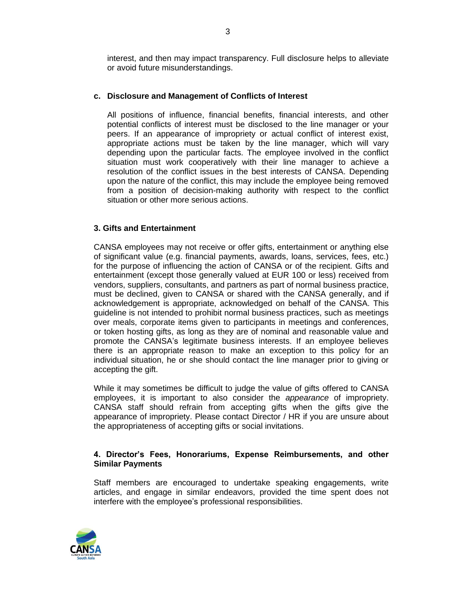interest, and then may impact transparency. Full disclosure helps to alleviate or avoid future misunderstandings.

## **c. Disclosure and Management of Conflicts of Interest**

All positions of influence, financial benefits, financial interests, and other potential conflicts of interest must be disclosed to the line manager or your peers. If an appearance of impropriety or actual conflict of interest exist, appropriate actions must be taken by the line manager, which will vary depending upon the particular facts. The employee involved in the conflict situation must work cooperatively with their line manager to achieve a resolution of the conflict issues in the best interests of CANSA. Depending upon the nature of the conflict, this may include the employee being removed from a position of decision-making authority with respect to the conflict situation or other more serious actions.

## **3. Gifts and Entertainment**

CANSA employees may not receive or offer gifts, entertainment or anything else of significant value (e.g. financial payments, awards, loans, services, fees, etc.) for the purpose of influencing the action of CANSA or of the recipient. Gifts and entertainment (except those generally valued at EUR 100 or less) received from vendors, suppliers, consultants, and partners as part of normal business practice, must be declined, given to CANSA or shared with the CANSA generally, and if acknowledgement is appropriate, acknowledged on behalf of the CANSA. This guideline is not intended to prohibit normal business practices, such as meetings over meals, corporate items given to participants in meetings and conferences, or token hosting gifts, as long as they are of nominal and reasonable value and promote the CANSA's legitimate business interests. If an employee believes there is an appropriate reason to make an exception to this policy for an individual situation, he or she should contact the line manager prior to giving or accepting the gift.

While it may sometimes be difficult to judge the value of gifts offered to CANSA employees, it is important to also consider the *appearance* of impropriety. CANSA staff should refrain from accepting gifts when the gifts give the appearance of impropriety. Please contact Director / HR if you are unsure about the appropriateness of accepting gifts or social invitations.

#### **4. Director's Fees, Honorariums, Expense Reimbursements, and other Similar Payments**

Staff members are encouraged to undertake speaking engagements, write articles, and engage in similar endeavors, provided the time spent does not interfere with the employee's professional responsibilities.

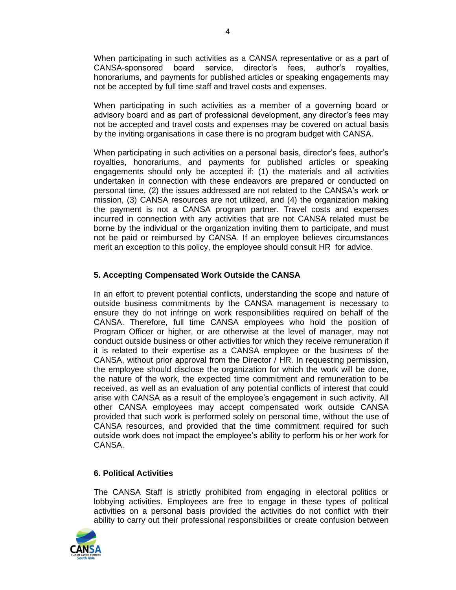When participating in such activities as a CANSA representative or as a part of CANSA-sponsored board service, director's fees, author's royalties, honorariums, and payments for published articles or speaking engagements may not be accepted by full time staff and travel costs and expenses.

When participating in such activities as a member of a governing board or advisory board and as part of professional development, any director's fees may not be accepted and travel costs and expenses may be covered on actual basis by the inviting organisations in case there is no program budget with CANSA.

When participating in such activities on a personal basis, director's fees, author's royalties, honorariums, and payments for published articles or speaking engagements should only be accepted if: (1) the materials and all activities undertaken in connection with these endeavors are prepared or conducted on personal time, (2) the issues addressed are not related to the CANSA's work or mission, (3) CANSA resources are not utilized, and (4) the organization making the payment is not a CANSA program partner. Travel costs and expenses incurred in connection with any activities that are not CANSA related must be borne by the individual or the organization inviting them to participate, and must not be paid or reimbursed by CANSA. If an employee believes circumstances merit an exception to this policy, the employee should consult HR for advice.

# **5. Accepting Compensated Work Outside the CANSA**

In an effort to prevent potential conflicts, understanding the scope and nature of outside business commitments by the CANSA management is necessary to ensure they do not infringe on work responsibilities required on behalf of the CANSA. Therefore, full time CANSA employees who hold the position of Program Officer or higher, or are otherwise at the level of manager, may not conduct outside business or other activities for which they receive remuneration if it is related to their expertise as a CANSA employee or the business of the CANSA, without prior approval from the Director / HR. In requesting permission, the employee should disclose the organization for which the work will be done, the nature of the work, the expected time commitment and remuneration to be received, as well as an evaluation of any potential conflicts of interest that could arise with CANSA as a result of the employee's engagement in such activity. All other CANSA employees may accept compensated work outside CANSA provided that such work is performed solely on personal time, without the use of CANSA resources, and provided that the time commitment required for such outside work does not impact the employee's ability to perform his or her work for CANSA.

## **6. Political Activities**

The CANSA Staff is strictly prohibited from engaging in electoral politics or lobbying activities. Employees are free to engage in these types of political activities on a personal basis provided the activities do not conflict with their ability to carry out their professional responsibilities or create confusion between

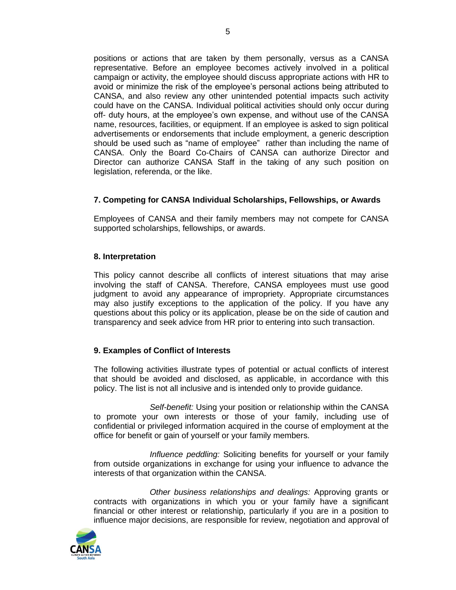positions or actions that are taken by them personally, versus as a CANSA representative. Before an employee becomes actively involved in a political campaign or activity, the employee should discuss appropriate actions with HR to avoid or minimize the risk of the employee's personal actions being attributed to CANSA, and also review any other unintended potential impacts such activity could have on the CANSA. Individual political activities should only occur during off- duty hours, at the employee's own expense, and without use of the CANSA name, resources, facilities, or equipment. If an employee is asked to sign political advertisements or endorsements that include employment, a generic description should be used such as "name of employee" rather than including the name of CANSA. Only the Board Co-Chairs of CANSA can authorize Director and Director can authorize CANSA Staff in the taking of any such position on legislation, referenda, or the like.

# **7. Competing for CANSA Individual Scholarships, Fellowships, or Awards**

Employees of CANSA and their family members may not compete for CANSA supported scholarships, fellowships, or awards.

#### **8. Interpretation**

This policy cannot describe all conflicts of interest situations that may arise involving the staff of CANSA. Therefore, CANSA employees must use good judgment to avoid any appearance of impropriety. Appropriate circumstances may also justify exceptions to the application of the policy. If you have any questions about this policy or its application, please be on the side of caution and transparency and seek advice from HR prior to entering into such transaction.

## **9. Examples of Conflict of Interests**

The following activities illustrate types of potential or actual conflicts of interest that should be avoided and disclosed, as applicable, in accordance with this policy. The list is not all inclusive and is intended only to provide guidance.

*Self-benefit:* Using your position or relationship within the CANSA to promote your own interests or those of your family, including use of confidential or privileged information acquired in the course of employment at the office for benefit or gain of yourself or your family members.

*Influence peddling:* Soliciting benefits for yourself or your family from outside organizations in exchange for using your influence to advance the interests of that organization within the CANSA.

*Other business relationships and dealings:* Approving grants or contracts with organizations in which you or your family have a significant financial or other interest or relationship, particularly if you are in a position to influence major decisions, are responsible for review, negotiation and approval of